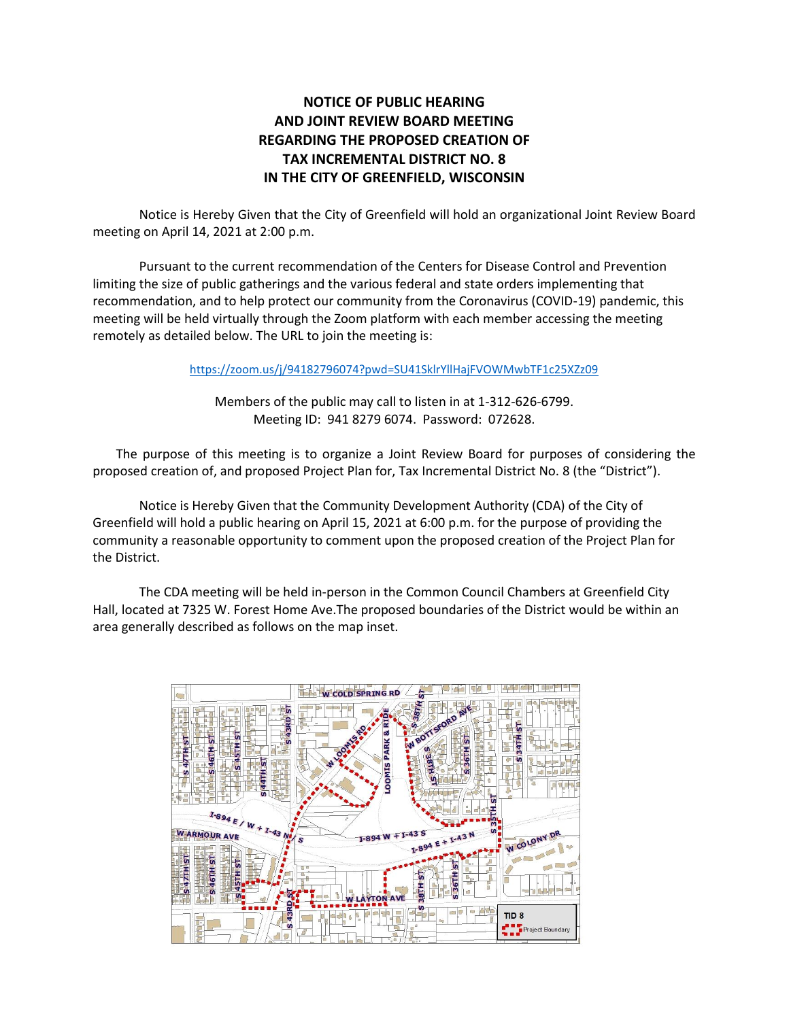## **NOTICE OF PUBLIC HEARING AND JOINT REVIEW BOARD MEETING REGARDING THE PROPOSED CREATION OF TAX INCREMENTAL DISTRICT NO. 8 IN THE CITY OF GREENFIELD, WISCONSIN**

Notice is Hereby Given that the City of Greenfield will hold an organizational Joint Review Board meeting on April 14, 2021 at 2:00 p.m.

Pursuant to the current recommendation of the Centers for Disease Control and Prevention limiting the size of public gatherings and the various federal and state orders implementing that recommendation, and to help protect our community from the Coronavirus (COVID-19) pandemic, this meeting will be held virtually through the Zoom platform with each member accessing the meeting remotely as detailed below. The URL to join the meeting is:

<https://zoom.us/j/94182796074?pwd=SU41SklrYllHajFVOWMwbTF1c25XZz09>

Members of the public may call to listen in at 1-312-626-6799. Meeting ID: 941 8279 6074. Password: 072628.

The purpose of this meeting is to organize a Joint Review Board for purposes of considering the proposed creation of, and proposed Project Plan for, Tax Incremental District No. 8 (the "District").

Notice is Hereby Given that the Community Development Authority (CDA) of the City of Greenfield will hold a public hearing on April 15, 2021 at 6:00 p.m. for the purpose of providing the community a reasonable opportunity to comment upon the proposed creation of the Project Plan for the District.

The CDA meeting will be held in-person in the Common Council Chambers at Greenfield City Hall, located at 7325 W. Forest Home Ave.The proposed boundaries of the District would be within an area generally described as follows on the map inset.